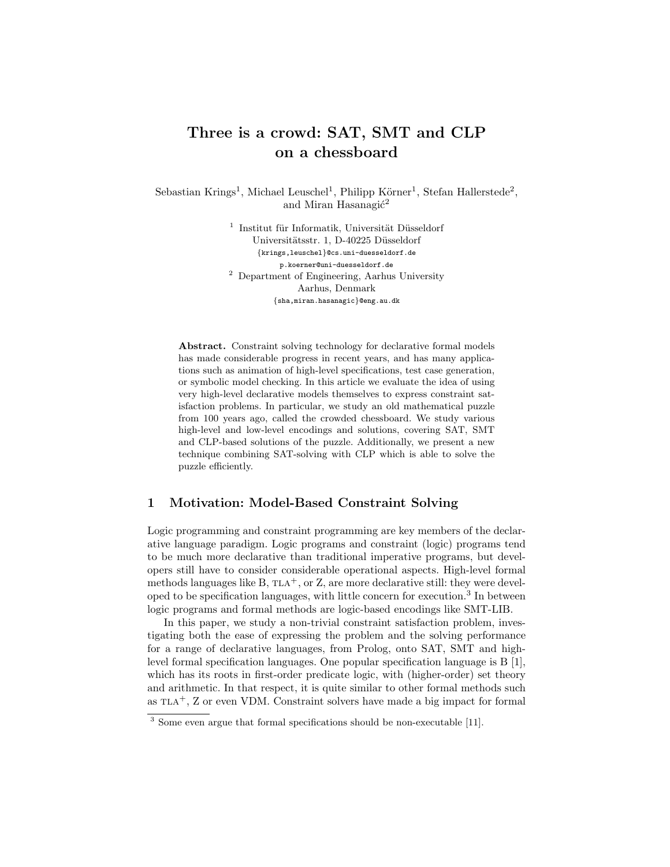# Three is a crowd: SAT, SMT and CLP on a chessboard

Sebastian Krings<sup>1</sup>, Michael Leuschel<sup>1</sup>, Philipp Körner<sup>1</sup>, Stefan Hallerstede<sup>2</sup>, and Miran Hasanagi $\acute{c}^2$ 

> <sup>1</sup> Institut für Informatik, Universität Düsseldorf Universitätsstr. 1, D-40225 Düsseldorf {krings,leuschel}@cs.uni-duesseldorf.de p.koerner@uni-duesseldorf.de <sup>2</sup> Department of Engineering, Aarhus University Aarhus, Denmark {sha,miran.hasanagic}@eng.au.dk

Abstract. Constraint solving technology for declarative formal models has made considerable progress in recent years, and has many applications such as animation of high-level specifications, test case generation, or symbolic model checking. In this article we evaluate the idea of using very high-level declarative models themselves to express constraint satisfaction problems. In particular, we study an old mathematical puzzle from 100 years ago, called the crowded chessboard. We study various high-level and low-level encodings and solutions, covering SAT, SMT and CLP-based solutions of the puzzle. Additionally, we present a new technique combining SAT-solving with CLP which is able to solve the puzzle efficiently.

# 1 Motivation: Model-Based Constraint Solving

Logic programming and constraint programming are key members of the declarative language paradigm. Logic programs and constraint (logic) programs tend to be much more declarative than traditional imperative programs, but developers still have to consider considerable operational aspects. High-level formal methods languages like B,  $TLA^+$ , or Z, are more declarative still: they were developed to be specification languages, with little concern for execution.<sup>3</sup> In between logic programs and formal methods are logic-based encodings like SMT-LIB.

In this paper, we study a non-trivial constraint satisfaction problem, investigating both the ease of expressing the problem and the solving performance for a range of declarative languages, from Prolog, onto SAT, SMT and highlevel formal specification languages. One popular specification language is B [1], which has its roots in first-order predicate logic, with (higher-order) set theory and arithmetic. In that respect, it is quite similar to other formal methods such as  $TLA^+$ , Z or even VDM. Constraint solvers have made a big impact for formal

<sup>&</sup>lt;sup>3</sup> Some even argue that formal specifications should be non-executable [11].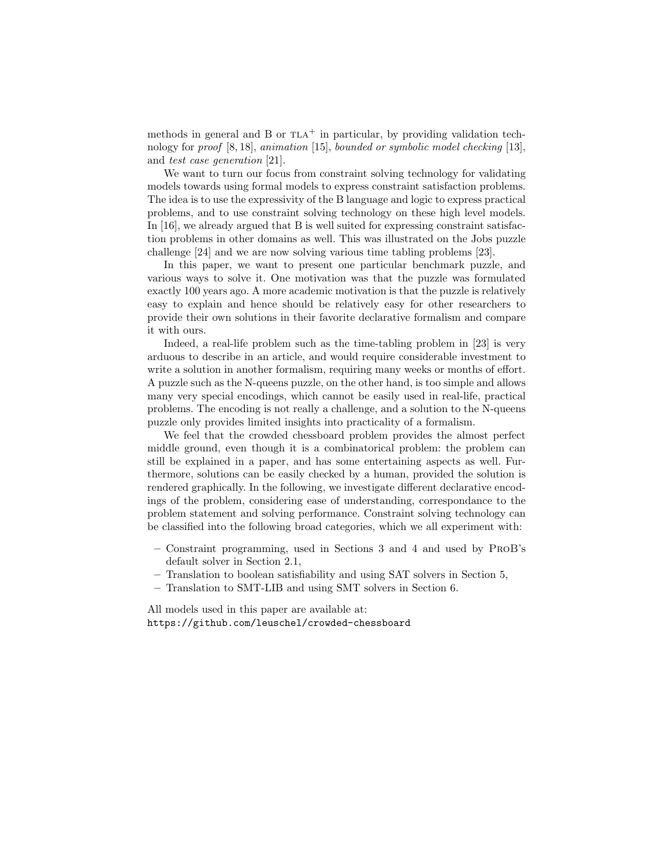methods in general and B or  $TLA^+$  in particular, by providing validation technology for proof [8, 18], animation [15], bounded or symbolic model checking [13], and test case generation [21].

We want to turn our focus from constraint solving technology for validating models towards using formal models to express constraint satisfaction problems. The idea is to use the expressivity of the B language and logic to express practical problems, and to use constraint solving technology on these high level models. In [16], we already argued that B is well suited for expressing constraint satisfaction problems in other domains as well. This was illustrated on the Jobs puzzle challenge [24] and we are now solving various time tabling problems [23].

In this paper, we want to present one particular benchmark puzzle, and various ways to solve it. One motivation was that the puzzle was formulated exactly 100 years ago. A more academic motivation is that the puzzle is relatively easy to explain and hence should be relatively easy for other researchers to provide their own solutions in their favorite declarative formalism and compare it with ours.

Indeed, a real-life problem such as the time-tabling problem in [23] is very arduous to describe in an article, and would require considerable investment to write a solution in another formalism, requiring many weeks or months of effort. A puzzle such as the N-queens puzzle, on the other hand, is too simple and allows many very special encodings, which cannot be easily used in real-life, practical problems. The encoding is not really a challenge, and a solution to the N-queens puzzle only provides limited insights into practicality of a formalism.

We feel that the crowded chessboard problem provides the almost perfect middle ground, even though it is a combinatorical problem: the problem can still be explained in a paper, and has some entertaining aspects as well. Furthermore, solutions can be easily checked by a human, provided the solution is rendered graphically. In the following, we investigate different declarative encodings of the problem, considering ease of understanding, correspondance to the problem statement and solving performance. Constraint solving technology can be classified into the following broad categories, which we all experiment with:

- Constraint programming, used in Sections 3 and 4 and used by ProB's default solver in Section 2.1,
- Translation to boolean satisfiability and using SAT solvers in Section 5,
- Translation to SMT-LIB and using SMT solvers in Section 6.

All models used in this paper are available at: https://github.com/leuschel/crowded-chessboard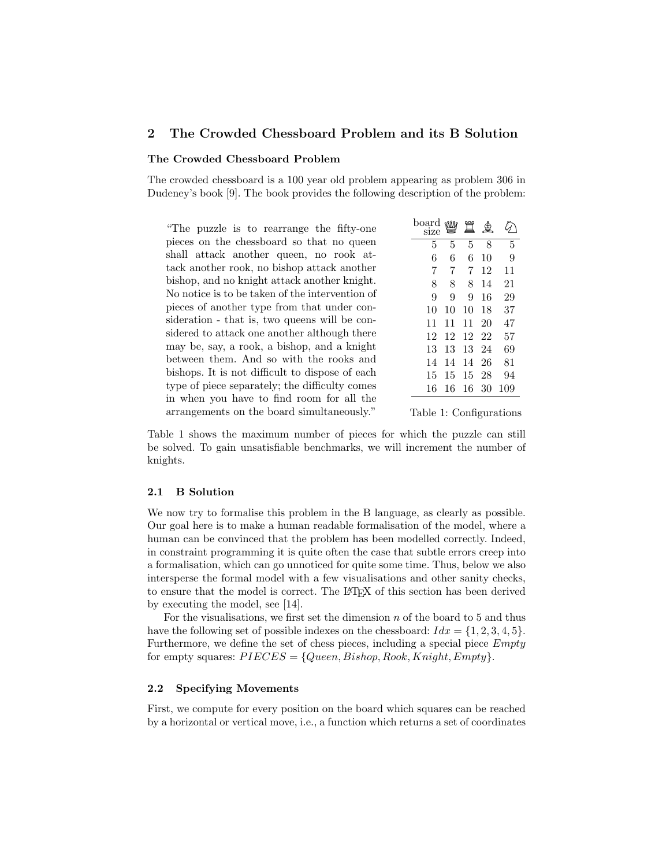### 2 The Crowded Chessboard Problem and its B Solution

#### The Crowded Chessboard Problem

The crowded chessboard is a 100 year old problem appearing as problem 306 in Dudeney's book [9]. The book provides the following description of the problem:

"The puzzle is to rearrange the fifty-one pieces on the chessboard so that no queen shall attack another queen, no rook attack another rook, no bishop attack another bishop, and no knight attack another knight. No notice is to be taken of the intervention of pieces of another type from that under consideration - that is, two queens will be considered to attack one another although there may be, say, a rook, a bishop, and a knight between them. And so with the rooks and bishops. It is not difficult to dispose of each type of piece separately; the difficulty comes in when you have to find room for all the arrangements on the board simultaneously."

| oard<br>size |    |    |    |     |
|--------------|----|----|----|-----|
| 5            | 5  | 5  | 8  | 5   |
| 6            | 6  | 6  | 10 | 9   |
| 7            | 7  | 7  | 12 | 11  |
| 8            | 8  | 8  | 14 | 21  |
| 9            | 9  | 9  | 16 | 29  |
| 10           | 10 | 10 | 18 | 37  |
| 11           | 11 | 11 | 20 | 47  |
| 12           | 12 | 12 | 22 | 57  |
| 13           | 13 | 13 | 24 | 69  |
| 14           | 14 | 14 | 26 | 81  |
| 15           | 15 | 15 | 28 | 94  |
| 16           | 16 | 16 | 30 | 109 |

Table 1: Configurations

Table 1 shows the maximum number of pieces for which the puzzle can still be solved. To gain unsatisfiable benchmarks, we will increment the number of knights.

#### 2.1 B Solution

We now try to formalise this problem in the B language, as clearly as possible. Our goal here is to make a human readable formalisation of the model, where a human can be convinced that the problem has been modelled correctly. Indeed, in constraint programming it is quite often the case that subtle errors creep into a formalisation, which can go unnoticed for quite some time. Thus, below we also intersperse the formal model with a few visualisations and other sanity checks, to ensure that the model is correct. The LATEX of this section has been derived by executing the model, see [14].

For the visualisations, we first set the dimension  $n$  of the board to 5 and thus have the following set of possible indexes on the chessboard:  $Idx = \{1, 2, 3, 4, 5\}.$ Furthermore, we define the set of chess pieces, including a special piece  $Empty$ for empty squares:  $PIECES = \{Queue, Bishop, Book, Knight, Empty\}.$ 

#### 2.2 Specifying Movements

First, we compute for every position on the board which squares can be reached by a horizontal or vertical move, i.e., a function which returns a set of coordinates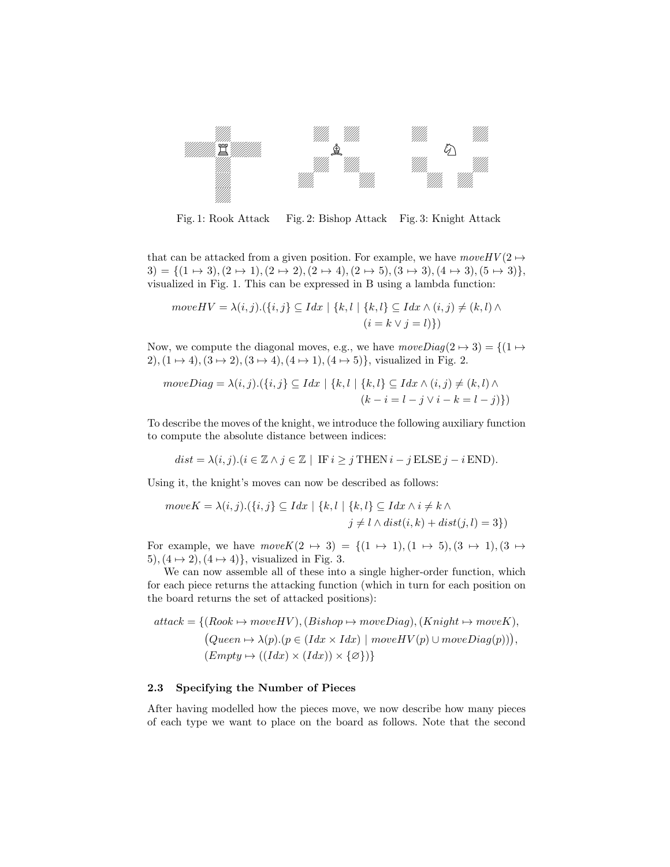

Fig. 1: Rook Attack Fig. 2: Bishop Attack Fig. 3: Knight Attack

that can be attacked from a given position. For example, we have  $moveHV(2 \rightarrow$  $3) = \{(1 \mapsto 3), (2 \mapsto 1), (2 \mapsto 2), (2 \mapsto 4), (2 \mapsto 5), (3 \mapsto 3), (4 \mapsto 3), (5 \mapsto 3)\},\$ visualized in Fig. 1. This can be expressed in B using a lambda function:

$$
moveHV = \lambda(i,j).(\{i,j\} \subseteq Idx \mid \{k,l \mid \{k,l\} \subseteq Idx \land (i,j) \neq (k,l) \land (i=k \lor j=l)\})
$$

Now, we compute the diagonal moves, e.g., we have  $moveDiag(2 \rightarrow 3) = \{(1 \rightarrow$ 2),  $(1 \mapsto 4)$ ,  $(3 \mapsto 2)$ ,  $(3 \mapsto 4)$ ,  $(4 \mapsto 1)$ ,  $(4 \mapsto 5)$ }, visualized in Fig. 2.

$$
moveDiag = \lambda(i,j).(\{i,j\} \subseteq Idx \mid \{k,l \mid \{k,l\} \subseteq Idx \land (i,j) \neq (k,l) \land (k-i=l-j) \} \tag{k-i=l-j}
$$

To describe the moves of the knight, we introduce the following auxiliary function to compute the absolute distance between indices:

$$
dist = \lambda(i, j). (i \in \mathbb{Z} \land j \in \mathbb{Z} \mid \text{IF } i \geq j \text{ THEN } i - j \text{ ELSE } j - i \text{ END}).
$$

Using it, the knight's moves can now be described as follows:

$$
moveK = \lambda(i, j).(\{i, j\} \subseteq Idx \mid \{k, l \mid \{k, l\} \subseteq Idx \land i \neq k \land
$$

$$
j \neq l \land dist(i, k) + dist(j, l) = 3\})
$$

For example, we have  $moveK(2 \leftrightarrow 3) = \{(1 \leftrightarrow 1), (1 \leftrightarrow 5), (3 \leftrightarrow 1), (3 \leftrightarrow 7)\}$ 5),  $(4 \mapsto 2)$ ,  $(4 \mapsto 4)$ , visualized in Fig. 3.

We can now assemble all of these into a single higher-order function, which for each piece returns the attacking function (which in turn for each position on the board returns the set of attacked positions):

$$
attack = \{ (Root \mapsto moveHV), (Bishop \mapsto moveDiag), (Knight \mapsto moveK),
$$

$$
(Queen \mapsto \lambda(p). (p \in (Idx \times Idx) \mid moveHV(p) \cup moveDiag(p))),
$$

$$
(Empty \mapsto ((Idx) \times (Idx)) \times \{\emptyset\})\}
$$

#### 2.3 Specifying the Number of Pieces

After having modelled how the pieces move, we now describe how many pieces of each type we want to place on the board as follows. Note that the second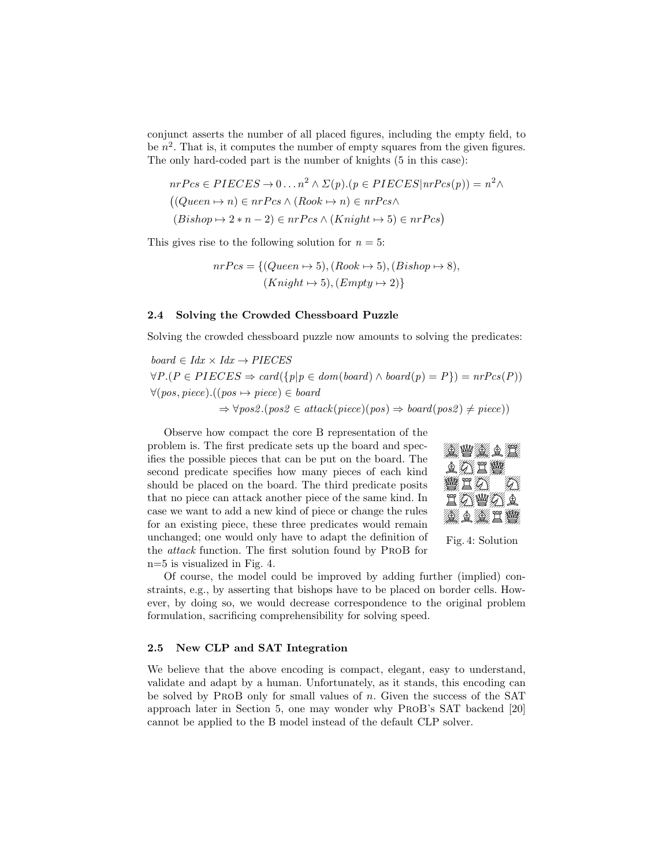conjunct asserts the number of all placed figures, including the empty field, to be  $n^2$ . That is, it computes the number of empty squares from the given figures. The only hard-coded part is the number of knights (5 in this case):

$$
nrPcs \in PIECES \to 0...n^2 \land \Sigma(p).(p \in PIECES|nrPcs(p)) = n^2 \land
$$
  

$$
((Queen \to n) \in nrPcs \land (Root \to n) \in nrPcs \land
$$
  

$$
(Bishop \to 2*n-2) \in nrPcs \land (Knight \to 5) \in nrPcs)
$$

This gives rise to the following solution for  $n = 5$ :

$$
nrPcs = \{(Queue n \rightarrow 5), (Book \rightarrow 5), (Bishop \rightarrow 8), (Knight \rightarrow 5), (Empty \rightarrow 2)\}
$$

#### 2.4 Solving the Crowded Chessboard Puzzle

Solving the crowded chessboard puzzle now amounts to solving the predicates:

 $board \in \text{Idx} \times \text{Idx} \rightarrow \text{PIECES}$  $\forall P.(P \in P \mid E \subseteq S \Rightarrow \text{card}(\{p | p \in \text{dom}(\text{board}) \land \text{board}(p) = P\}) = \text{nr} \text{Pos}(P)$  $\forall (pos, piece).((pos \mapsto piece) \in board$  $\Rightarrow \forall pos2. (pos2 \in attack(piece)(pos) \Rightarrow board(pos2) \ne piece)$ 

Observe how compact the core B representation of the problem is. The first predicate sets up the board and specifies the possible pieces that can be put on the board. The second predicate specifies how many pieces of each kind should be placed on the board. The third predicate posits that no piece can attack another piece of the same kind. In case we want to add a new kind of piece or change the rules for an existing piece, these three predicates would remain unchanged; one would only have to adapt the definition of the attack function. The first solution found by ProB for n=5 is visualized in Fig. 4.



Fig. 4: Solution

Of course, the model could be improved by adding further (implied) constraints, e.g., by asserting that bishops have to be placed on border cells. However, by doing so, we would decrease correspondence to the original problem formulation, sacrificing comprehensibility for solving speed.

#### 2.5 New CLP and SAT Integration

We believe that the above encoding is compact, elegant, easy to understand, validate and adapt by a human. Unfortunately, as it stands, this encoding can be solved by ProB only for small values of n. Given the success of the SAT approach later in Section 5, one may wonder why ProB's SAT backend [20] cannot be applied to the B model instead of the default CLP solver.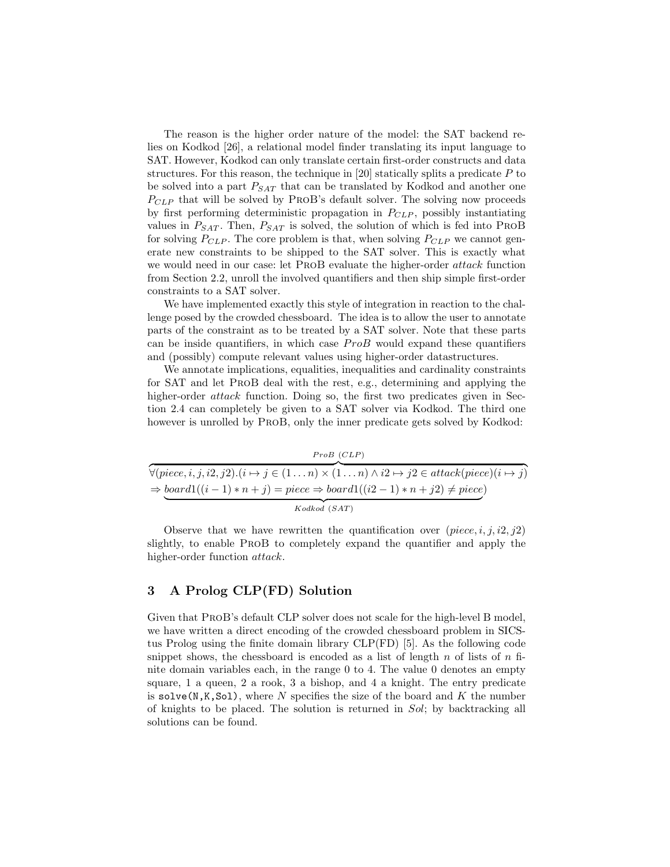The reason is the higher order nature of the model: the SAT backend relies on Kodkod [26], a relational model finder translating its input language to SAT. However, Kodkod can only translate certain first-order constructs and data structures. For this reason, the technique in  $[20]$  statically splits a predicate  $P$  to be solved into a part  $P_{SAT}$  that can be translated by Kodkod and another one  $P_{CLP}$  that will be solved by PROB's default solver. The solving now proceeds by first performing deterministic propagation in  $P_{CLP}$ , possibly instantiating values in  $P_{SAT}$ . Then,  $P_{SAT}$  is solved, the solution of which is fed into PROB for solving  $P_{CLP}$ . The core problem is that, when solving  $P_{CLP}$  we cannot generate new constraints to be shipped to the SAT solver. This is exactly what we would need in our case: let ProB evaluate the higher-order attack function from Section 2.2, unroll the involved quantifiers and then ship simple first-order constraints to a SAT solver.

We have implemented exactly this style of integration in reaction to the challenge posed by the crowded chessboard. The idea is to allow the user to annotate parts of the constraint as to be treated by a SAT solver. Note that these parts can be inside quantifiers, in which case  $ProB$  would expand these quantifiers and (possibly) compute relevant values using higher-order datastructures.

We annotate implications, equalities, inequalities and cardinality constraints for SAT and let ProB deal with the rest, e.g., determining and applying the higher-order *attack* function. Doing so, the first two predicates given in Section 2.4 can completely be given to a SAT solver via Kodkod. The third one however is unrolled by ProB, only the inner predicate gets solved by Kodkod:

 $Proof (CLP)$ 

| $\forall (piece, i, j, i2, j2). (i \mapsto j \in (1 \dots n) \times (1 \dots n) \land i2 \mapsto j2 \in attack(piece)(i \mapsto j)$ |
|-------------------------------------------------------------------------------------------------------------------------------------|
| $\Rightarrow board1((i-1)*n+j) = piece \Rightarrow board1((i2-1)*n+j2) \neq piece)$                                                 |
| Kodkod (SAT)                                                                                                                        |

Observe that we have rewritten the quantification over  $(piece, i, j, i2, j2)$ slightly, to enable ProB to completely expand the quantifier and apply the higher-order function *attack*.

### 3 A Prolog CLP(FD) Solution

Given that ProB's default CLP solver does not scale for the high-level B model, we have written a direct encoding of the crowded chessboard problem in SICStus Prolog using the finite domain library CLP(FD) [5]. As the following code snippet shows, the chessboard is encoded as a list of length  $n$  of lists of  $n$  finite domain variables each, in the range 0 to 4. The value 0 denotes an empty square, 1 a queen, 2 a rook, 3 a bishop, and 4 a knight. The entry predicate is solve(N,K,Sol), where N specifies the size of the board and K the number of knights to be placed. The solution is returned in Sol; by backtracking all solutions can be found.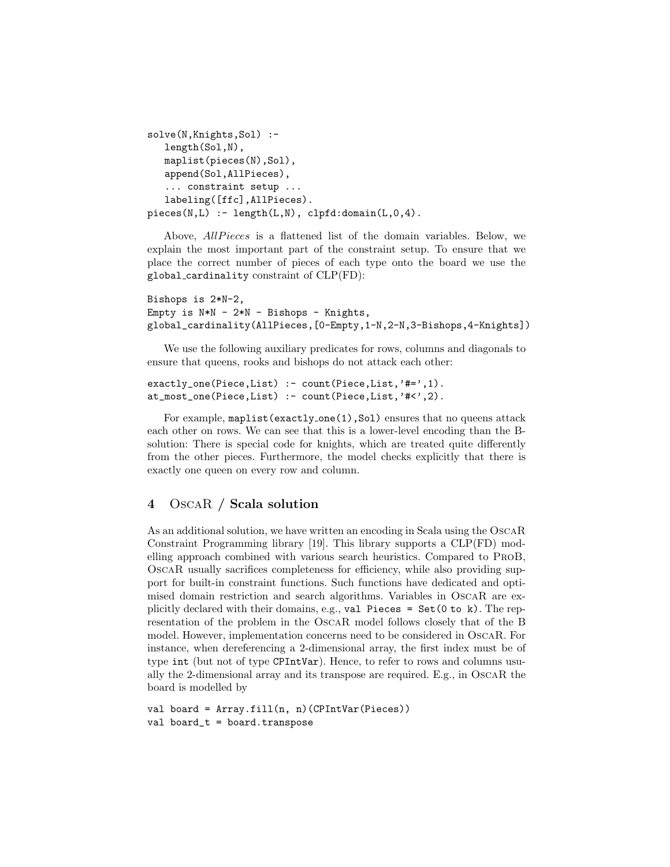```
solve(N,Knights,Sol) :-
   length(Sol,N),
   maplist(pieces(N),Sol),
   append(Sol,AllPieces),
   ... constraint setup ...
   labeling([ffc],AllPieces).
pieces(N, L) := length(L, N), clipfd:domain(L, 0, 4).
```
Above, *AllPieces* is a flattened list of the domain variables. Below, we explain the most important part of the constraint setup. To ensure that we place the correct number of pieces of each type onto the board we use the global cardinality constraint of CLP(FD):

```
Bishops is 2*N-2,
Empty is N*N - 2*N - Bishops - Knights,
global_cardinality(AllPieces,[0-Empty,1-N,2-N,3-Bishops,4-Knights])
```
We use the following auxiliary predicates for rows, columns and diagonals to ensure that queens, rooks and bishops do not attack each other:

```
exactly_one(Piece,List) :- count(Piece,List,'#=',1).
at_most_one(Piece,List) :- count(Piece,List,'#<',2).
```
For example,  $maplist(exactly,on)$ , Sol) ensures that no queens attack each other on rows. We can see that this is a lower-level encoding than the Bsolution: There is special code for knights, which are treated quite differently from the other pieces. Furthermore, the model checks explicitly that there is exactly one queen on every row and column.

# 4 OscaR / Scala solution

As an additional solution, we have written an encoding in Scala using the OscaR Constraint Programming library [19]. This library supports a CLP(FD) modelling approach combined with various search heuristics. Compared to ProB, OscaR usually sacrifices completeness for efficiency, while also providing support for built-in constraint functions. Such functions have dedicated and optimised domain restriction and search algorithms. Variables in OscaR are explicitly declared with their domains, e.g., val Pieces =  $Set(0 to k)$ . The representation of the problem in the OscaR model follows closely that of the B model. However, implementation concerns need to be considered in OscaR. For instance, when dereferencing a 2-dimensional array, the first index must be of type int (but not of type CPIntVar). Hence, to refer to rows and columns usually the 2-dimensional array and its transpose are required. E.g., in OscaR the board is modelled by

```
val board = Array.fill(n, n)(CPIntVar(Pieces))
val board_t = board.transpose
```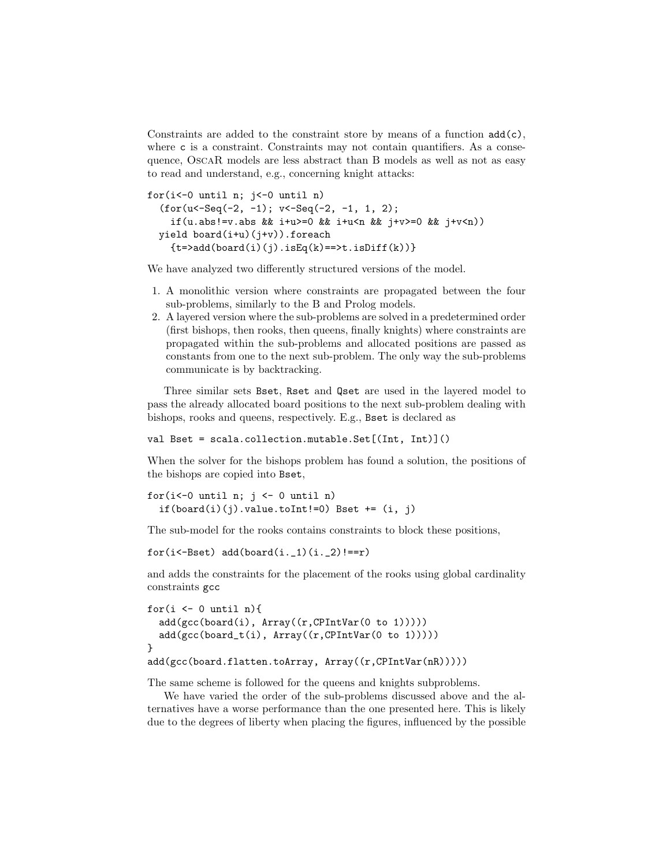Constraints are added to the constraint store by means of a function  $add(c)$ , where c is a constraint. Constraints may not contain quantifiers. As a consequence, OscaR models are less abstract than B models as well as not as easy to read and understand, e.g., concerning knight attacks:

```
for(i<-0 until n; j<-0 until n)
  (for(u<-Seq(-2, -1); v<-Seq(-2, -1, 1, 2);
    if(u.abs!=v.abs && i+u>=0 && i+u<n && j+v>=0 && j+v<n))
  yield board(i+u)(j+v)).foreach
    {t=}>add(board(i)(j).isEq(k)==>t.isDiff(k))}
```
We have analyzed two differently structured versions of the model.

- 1. A monolithic version where constraints are propagated between the four sub-problems, similarly to the B and Prolog models.
- 2. A layered version where the sub-problems are solved in a predetermined order (first bishops, then rooks, then queens, finally knights) where constraints are propagated within the sub-problems and allocated positions are passed as constants from one to the next sub-problem. The only way the sub-problems communicate is by backtracking.

Three similar sets Bset, Rset and Qset are used in the layered model to pass the already allocated board positions to the next sub-problem dealing with bishops, rooks and queens, respectively. E.g., Bset is declared as

```
val Bset = scala.collection.mutable.Set[(Int, Int)]()
```
When the solver for the bishops problem has found a solution, the positions of the bishops are copied into Bset,

```
for(i < -0 until n; j < -0 until n)
  if(board(i)(j).value.tolnt!=0) Bset += (i, j)
```
The sub-model for the rooks contains constraints to block these positions,

```
for(i <-Bset) add(board(i.1)(i.2)!==r)
```
and adds the constraints for the placement of the rooks using global cardinality constraints gcc

```
for(i \leq 0 until n){
  add(gcc(board(i), Array((r,CPIntVar(0 to 1)))))
  add(gcc(board_t(i), Array((r,CPIntVar(0 to 1))))}
add(gcc(board.flatten.toArray, Array((r,CPIntVar(nR)))))
```
The same scheme is followed for the queens and knights subproblems.

We have varied the order of the sub-problems discussed above and the alternatives have a worse performance than the one presented here. This is likely due to the degrees of liberty when placing the figures, influenced by the possible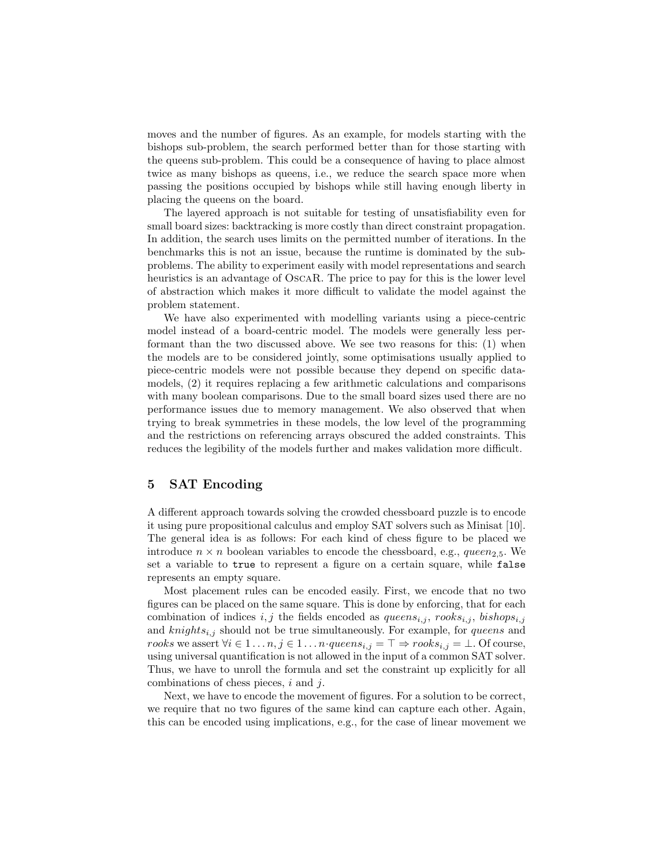moves and the number of figures. As an example, for models starting with the bishops sub-problem, the search performed better than for those starting with the queens sub-problem. This could be a consequence of having to place almost twice as many bishops as queens, i.e., we reduce the search space more when passing the positions occupied by bishops while still having enough liberty in placing the queens on the board.

The layered approach is not suitable for testing of unsatisfiability even for small board sizes: backtracking is more costly than direct constraint propagation. In addition, the search uses limits on the permitted number of iterations. In the benchmarks this is not an issue, because the runtime is dominated by the subproblems. The ability to experiment easily with model representations and search heuristics is an advantage of OSCAR. The price to pay for this is the lower level of abstraction which makes it more difficult to validate the model against the problem statement.

We have also experimented with modelling variants using a piece-centric model instead of a board-centric model. The models were generally less performant than the two discussed above. We see two reasons for this: (1) when the models are to be considered jointly, some optimisations usually applied to piece-centric models were not possible because they depend on specific datamodels, (2) it requires replacing a few arithmetic calculations and comparisons with many boolean comparisons. Due to the small board sizes used there are no performance issues due to memory management. We also observed that when trying to break symmetries in these models, the low level of the programming and the restrictions on referencing arrays obscured the added constraints. This reduces the legibility of the models further and makes validation more difficult.

### 5 SAT Encoding

A different approach towards solving the crowded chessboard puzzle is to encode it using pure propositional calculus and employ SAT solvers such as Minisat [10]. The general idea is as follows: For each kind of chess figure to be placed we introduce  $n \times n$  boolean variables to encode the chessboard, e.g., queen<sub>2.5</sub>. We set a variable to true to represent a figure on a certain square, while false represents an empty square.

Most placement rules can be encoded easily. First, we encode that no two figures can be placed on the same square. This is done by enforcing, that for each combination of indices i, j the fields encoded as queens<sub>i,j</sub>, rooks<sub>i,j</sub>, bishops<sub>i,j</sub> and  $knights_{i,j}$  should not be true simultaneously. For example, for *queens* and rooks we assert  $\forall i \in 1 \ldots n, j \in 1 \ldots n$  queens $s_{i,j} = \top \Rightarrow \text{rooks}_{i,j} = \bot$ . Of course, using universal quantification is not allowed in the input of a common SAT solver. Thus, we have to unroll the formula and set the constraint up explicitly for all combinations of chess pieces,  $i$  and  $j$ .

Next, we have to encode the movement of figures. For a solution to be correct, we require that no two figures of the same kind can capture each other. Again, this can be encoded using implications, e.g., for the case of linear movement we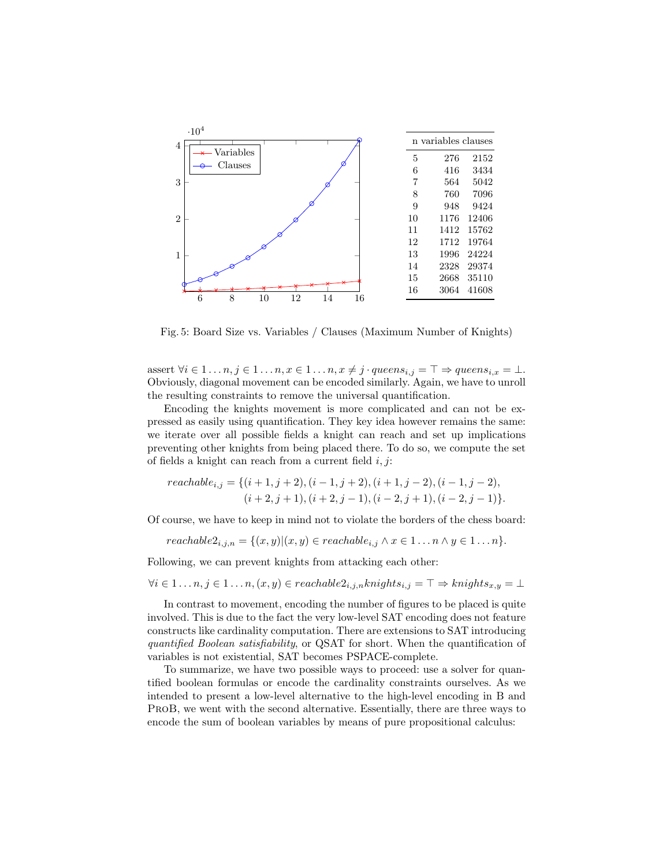

Fig. 5: Board Size vs. Variables / Clauses (Maximum Number of Knights)

assert  $\forall i \in 1 \ldots n, j \in 1 \ldots n, x \in 1 \ldots n, x \neq j \cdot queens_{i,j} = \top \Rightarrow queens_{i,x} = \bot.$ Obviously, diagonal movement can be encoded similarly. Again, we have to unroll the resulting constraints to remove the universal quantification.

Encoding the knights movement is more complicated and can not be expressed as easily using quantification. They key idea however remains the same: we iterate over all possible fields a knight can reach and set up implications preventing other knights from being placed there. To do so, we compute the set of fields a knight can reach from a current field  $i, j$ :

$$
reachable_{i,j} = \{(i+1,j+2), (i-1,j+2), (i+1,j-2), (i-1,j-2), (i+2,j+1), (i+2,j-1), (i-2,j+1), (i-2,j-1)\}.
$$

Of course, we have to keep in mind not to violate the borders of the chess board:

reachable  $2_{i,j,n} = \{(x, y) | (x, y) \in reachable_{i,j} \land x \in 1 \dots n \land y \in 1 \dots n\}.$ 

Following, we can prevent knights from attacking each other:

 $\forall i \in 1 \ldots n, j \in 1 \ldots n, (x, y) \in reachable2_{i,j,n}knights_{i,j} = \top \Rightarrow knights_{x,y} = \bot$ 

In contrast to movement, encoding the number of figures to be placed is quite involved. This is due to the fact the very low-level SAT encoding does not feature constructs like cardinality computation. There are extensions to SAT introducing quantified Boolean satisfiability, or QSAT for short. When the quantification of variables is not existential, SAT becomes PSPACE-complete.

To summarize, we have two possible ways to proceed: use a solver for quantified boolean formulas or encode the cardinality constraints ourselves. As we intended to present a low-level alternative to the high-level encoding in B and ProB, we went with the second alternative. Essentially, there are three ways to encode the sum of boolean variables by means of pure propositional calculus: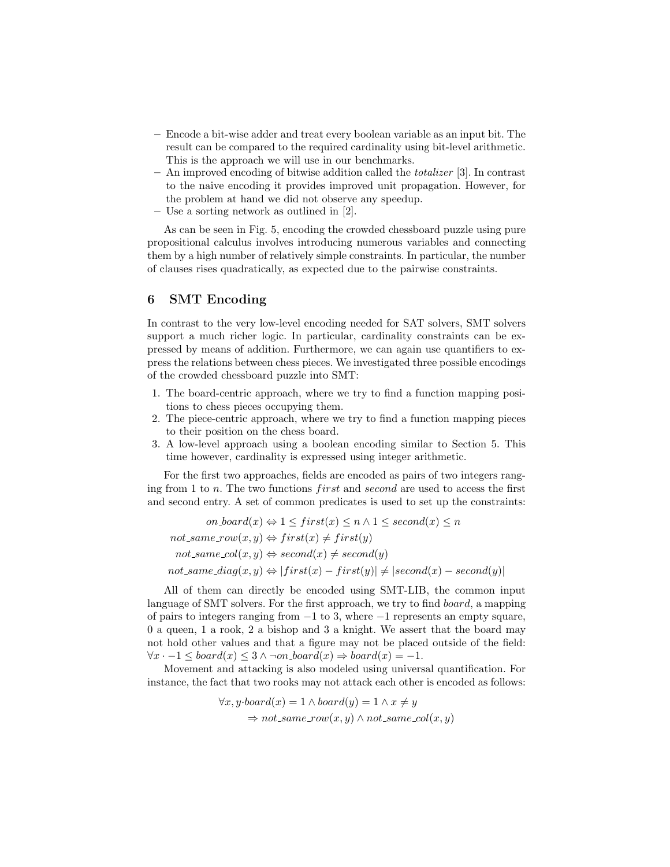- Encode a bit-wise adder and treat every boolean variable as an input bit. The result can be compared to the required cardinality using bit-level arithmetic. This is the approach we will use in our benchmarks.
- An improved encoding of bitwise addition called the totalizer [3]. In contrast to the naive encoding it provides improved unit propagation. However, for the problem at hand we did not observe any speedup.
- Use a sorting network as outlined in [2].

As can be seen in Fig. 5, encoding the crowded chessboard puzzle using pure propositional calculus involves introducing numerous variables and connecting them by a high number of relatively simple constraints. In particular, the number of clauses rises quadratically, as expected due to the pairwise constraints.

#### 6 SMT Encoding

In contrast to the very low-level encoding needed for SAT solvers, SMT solvers support a much richer logic. In particular, cardinality constraints can be expressed by means of addition. Furthermore, we can again use quantifiers to express the relations between chess pieces. We investigated three possible encodings of the crowded chessboard puzzle into SMT:

- 1. The board-centric approach, where we try to find a function mapping positions to chess pieces occupying them.
- 2. The piece-centric approach, where we try to find a function mapping pieces to their position on the chess board.
- 3. A low-level approach using a boolean encoding similar to Section 5. This time however, cardinality is expressed using integer arithmetic.

For the first two approaches, fields are encoded as pairs of two integers ranging from 1 to n. The two functions *first* and *second* are used to access the first and second entry. A set of common predicates is used to set up the constraints:

on\_board(x)  $\Leftrightarrow$  1 ≤ first(x) ≤ n ∧ 1 ≤ second(x) ≤ n  $not\_same\_row(x, y) \Leftrightarrow first(x) \neq first(y)$  $not\_same\_col(x, y) \Leftrightarrow second(x) \neq second(y)$  $not\_same\_diag(x, y) \Leftrightarrow |first(x) - first(y)| \neq |second(x) - second(y)|$ 

All of them can directly be encoded using SMT-LIB, the common input language of SMT solvers. For the first approach, we try to find *board*, a mapping of pairs to integers ranging from −1 to 3, where −1 represents an empty square, 0 a queen, 1 a rook, 2 a bishop and 3 a knight. We assert that the board may not hold other values and that a figure may not be placed outside of the field:  $\forall x \cdot -1 \leq board(x) \leq 3 \land \neg on\_{board}(x) \Rightarrow board(x) = -1.$ 

Movement and attacking is also modeled using universal quantification. For instance, the fact that two rooks may not attack each other is encoded as follows:

$$
\forall x, y \cdot board(x) = 1 \land board(y) = 1 \land x \neq y
$$

$$
\Rightarrow not\_same\_row(x, y) \land not\_same\_col(x, y)
$$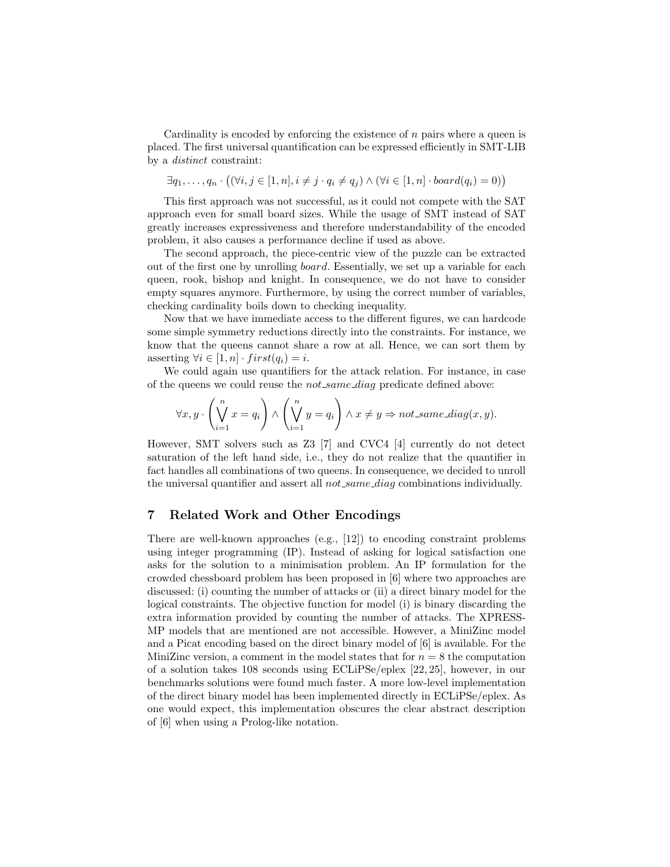Cardinality is encoded by enforcing the existence of  $n$  pairs where a queen is placed. The first universal quantification can be expressed efficiently in SMT-LIB by a distinct constraint:

 $\exists q_1, \ldots, q_n \cdot ((\forall i, j \in [1, n], i \neq j \cdot q_i \neq q_j) \land (\forall i \in [1, n] \cdot board(q_i) = 0))$ 

This first approach was not successful, as it could not compete with the SAT approach even for small board sizes. While the usage of SMT instead of SAT greatly increases expressiveness and therefore understandability of the encoded problem, it also causes a performance decline if used as above.

The second approach, the piece-centric view of the puzzle can be extracted out of the first one by unrolling board. Essentially, we set up a variable for each queen, rook, bishop and knight. In consequence, we do not have to consider empty squares anymore. Furthermore, by using the correct number of variables, checking cardinality boils down to checking inequality.

Now that we have immediate access to the different figures, we can hardcode some simple symmetry reductions directly into the constraints. For instance, we know that the queens cannot share a row at all. Hence, we can sort them by asserting  $\forall i \in [1, n] \cdot first(q_i) = i$ .

We could again use quantifiers for the attack relation. For instance, in case of the queens we could reuse the *not\_same\_diag* predicate defined above:

$$
\forall x, y \cdot \left(\bigvee_{i=1}^{n} x = q_i\right) \land \left(\bigvee_{i=1}^{n} y = q_i\right) \land x \neq y \Rightarrow not\_same\_diag(x, y).
$$

However, SMT solvers such as Z3 [7] and CVC4 [4] currently do not detect saturation of the left hand side, i.e., they do not realize that the quantifier in fact handles all combinations of two queens. In consequence, we decided to unroll the universal quantifier and assert all *not\_same\_diag* combinations individually.

# 7 Related Work and Other Encodings

There are well-known approaches (e.g., [12]) to encoding constraint problems using integer programming (IP). Instead of asking for logical satisfaction one asks for the solution to a minimisation problem. An IP formulation for the crowded chessboard problem has been proposed in [6] where two approaches are discussed: (i) counting the number of attacks or (ii) a direct binary model for the logical constraints. The objective function for model (i) is binary discarding the extra information provided by counting the number of attacks. The XPRESS-MP models that are mentioned are not accessible. However, a MiniZinc model and a Picat encoding based on the direct binary model of [6] is available. For the MiniZinc version, a comment in the model states that for  $n = 8$  the computation of a solution takes 108 seconds using ECLiPSe/eplex [22, 25], however, in our benchmarks solutions were found much faster. A more low-level implementation of the direct binary model has been implemented directly in ECLiPSe/eplex. As one would expect, this implementation obscures the clear abstract description of [6] when using a Prolog-like notation.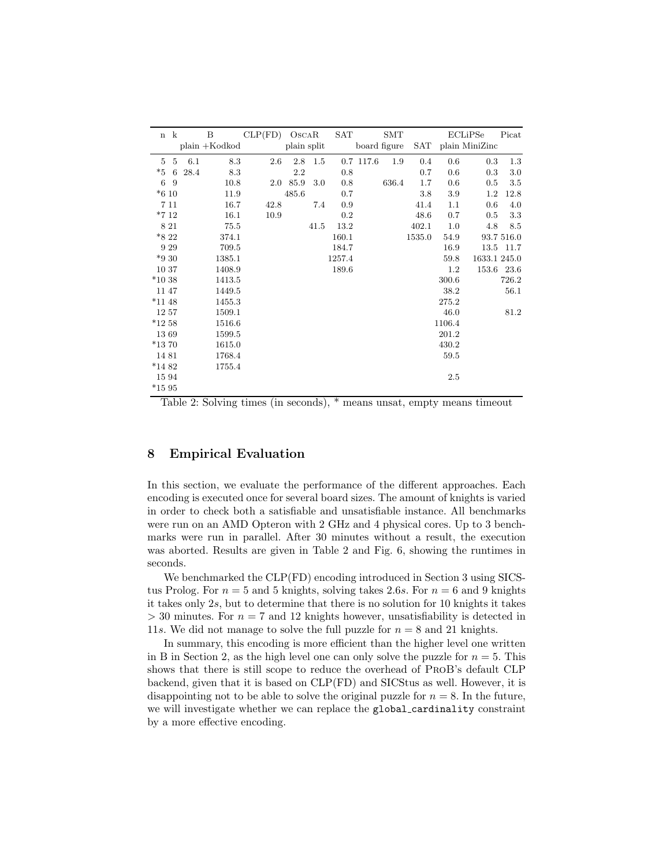|             | n k   |      | B                | CLP(FD) | OscAR       |      | SAT    |              | <b>SMT</b> |        |        | ECLiPSe        | Picat      |
|-------------|-------|------|------------------|---------|-------------|------|--------|--------------|------------|--------|--------|----------------|------------|
|             |       |      | $plain + Kodkod$ |         | plain split |      |        | board figure |            | SAT    |        | plain MiniZinc |            |
| $5^{\circ}$ | -5    | 6.1  | 8.3              | 2.6     | 2.8         | 1.5  |        | $0.7$ 117.6  | 1.9        | 0.4    | 0.6    | 0.3            | 1.3        |
| $*5$        | 6     | 28.4 | 8.3              |         | 2.2         |      | 0.8    |              |            | 0.7    | 0.6    | 0.3            | 3.0        |
| 6           | 9     |      | 10.8             | $2.0\,$ | 85.9        | 3.0  | 0.8    |              | 636.4      | 1.7    | 0.6    | 0.5            | 3.5        |
| $*610$      |       |      | 11.9             |         | 485.6       |      | 0.7    |              |            | 3.8    | 3.9    | $1.2\,$        | 12.8       |
|             | 7 1 1 |      | 16.7             | 42.8    |             | 7.4  | 0.9    |              |            | 41.4   | 1.1    | 0.6            | 4.0        |
| $*712$      |       |      | 16.1             | 10.9    |             |      | 0.2    |              |            | 48.6   | 0.7    | $0.5\,$        | 3.3        |
|             | 8 21  |      | 75.5             |         |             | 41.5 | 13.2   |              |            | 402.1  | 1.0    | 4.8            | 8.5        |
| $*822$      |       |      | 374.1            |         |             |      | 160.1  |              |            | 1535.0 | 54.9   |                | 93.7 516.0 |
|             | 9 2 9 |      | 709.5            |         |             |      | 184.7  |              |            |        | 16.9   | 13.5           | 11.7       |
| *9 30       |       |      | 1385.1           |         |             |      | 1257.4 |              |            |        | 59.8   | 1633.1 245.0   |            |
| 10 37       |       |      | 1408.9           |         |             |      | 189.6  |              |            |        | 1.2    |                | 153.6 23.6 |
| $*1038$     |       |      | 1413.5           |         |             |      |        |              |            |        | 300.6  |                | 726.2      |
| 11 47       |       |      | 1449.5           |         |             |      |        |              |            |        | 38.2   |                | 56.1       |
| $*1148$     |       |      | 1455.3           |         |             |      |        |              |            |        | 275.2  |                |            |
| 12 57       |       |      | 1509.1           |         |             |      |        |              |            |        | 46.0   |                | 81.2       |
| $*1258$     |       |      | 1516.6           |         |             |      |        |              |            |        | 1106.4 |                |            |
| 1369        |       |      | 1599.5           |         |             |      |        |              |            |        | 201.2  |                |            |
| $*1370$     |       |      | 1615.0           |         |             |      |        |              |            |        | 430.2  |                |            |
| 14 81       |       |      | 1768.4           |         |             |      |        |              |            |        | 59.5   |                |            |
| $*1482$     |       |      | 1755.4           |         |             |      |        |              |            |        |        |                |            |
| 15 94       |       |      |                  |         |             |      |        |              |            |        | 2.5    |                |            |
| $*1595$     |       |      |                  |         |             |      |        |              |            |        |        |                |            |

Table 2: Solving times (in seconds), \* means unsat, empty means timeout

### 8 Empirical Evaluation

In this section, we evaluate the performance of the different approaches. Each encoding is executed once for several board sizes. The amount of knights is varied in order to check both a satisfiable and unsatisfiable instance. All benchmarks were run on an AMD Opteron with 2 GHz and 4 physical cores. Up to 3 benchmarks were run in parallel. After 30 minutes without a result, the execution was aborted. Results are given in Table 2 and Fig. 6, showing the runtimes in seconds.

We benchmarked the CLP(FD) encoding introduced in Section 3 using SICStus Prolog. For  $n = 5$  and 5 knights, solving takes 2.6s. For  $n = 6$  and 9 knights it takes only 2s, but to determine that there is no solution for 10 knights it takes  $>$  30 minutes. For  $n = 7$  and 12 knights however, unsatisfiability is detected in 11s. We did not manage to solve the full puzzle for  $n = 8$  and 21 knights.

In summary, this encoding is more efficient than the higher level one written in B in Section 2, as the high level one can only solve the puzzle for  $n = 5$ . This shows that there is still scope to reduce the overhead of ProB's default CLP backend, given that it is based on CLP(FD) and SICStus as well. However, it is disappointing not to be able to solve the original puzzle for  $n = 8$ . In the future, we will investigate whether we can replace the global cardinality constraint by a more effective encoding.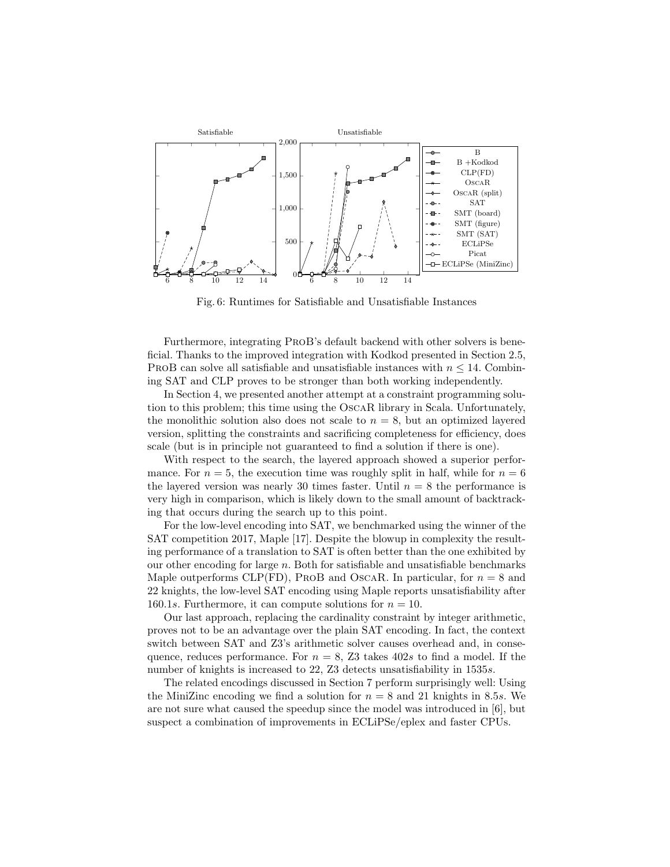

Fig. 6: Runtimes for Satisfiable and Unsatisfiable Instances

Furthermore, integrating ProB's default backend with other solvers is beneficial. Thanks to the improved integration with Kodkod presented in Section 2.5, PROB can solve all satisfiable and unsatisfiable instances with  $n \leq 14$ . Combining SAT and CLP proves to be stronger than both working independently.

In Section 4, we presented another attempt at a constraint programming solution to this problem; this time using the OscaR library in Scala. Unfortunately, the monolithic solution also does not scale to  $n = 8$ , but an optimized layered version, splitting the constraints and sacrificing completeness for efficiency, does scale (but is in principle not guaranteed to find a solution if there is one).

With respect to the search, the layered approach showed a superior performance. For  $n = 5$ , the execution time was roughly split in half, while for  $n = 6$ the layered version was nearly 30 times faster. Until  $n = 8$  the performance is very high in comparison, which is likely down to the small amount of backtracking that occurs during the search up to this point.

For the low-level encoding into SAT, we benchmarked using the winner of the SAT competition 2017, Maple [17]. Despite the blowup in complexity the resulting performance of a translation to SAT is often better than the one exhibited by our other encoding for large  $n$ . Both for satisfiable and unsatisfiable benchmarks Maple outperforms CLP(FD), PROB and OscaR. In particular, for  $n = 8$  and 22 knights, the low-level SAT encoding using Maple reports unsatisfiability after 160.1s. Furthermore, it can compute solutions for  $n = 10$ .

Our last approach, replacing the cardinality constraint by integer arithmetic, proves not to be an advantage over the plain SAT encoding. In fact, the context switch between SAT and Z3's arithmetic solver causes overhead and, in consequence, reduces performance. For  $n = 8$ , Z3 takes 402s to find a model. If the number of knights is increased to 22, Z3 detects unsatisfiability in  $1535s$ .

The related encodings discussed in Section 7 perform surprisingly well: Using the MiniZinc encoding we find a solution for  $n = 8$  and 21 knights in 8.5s. We are not sure what caused the speedup since the model was introduced in [6], but suspect a combination of improvements in ECLiPSe/eplex and faster CPUs.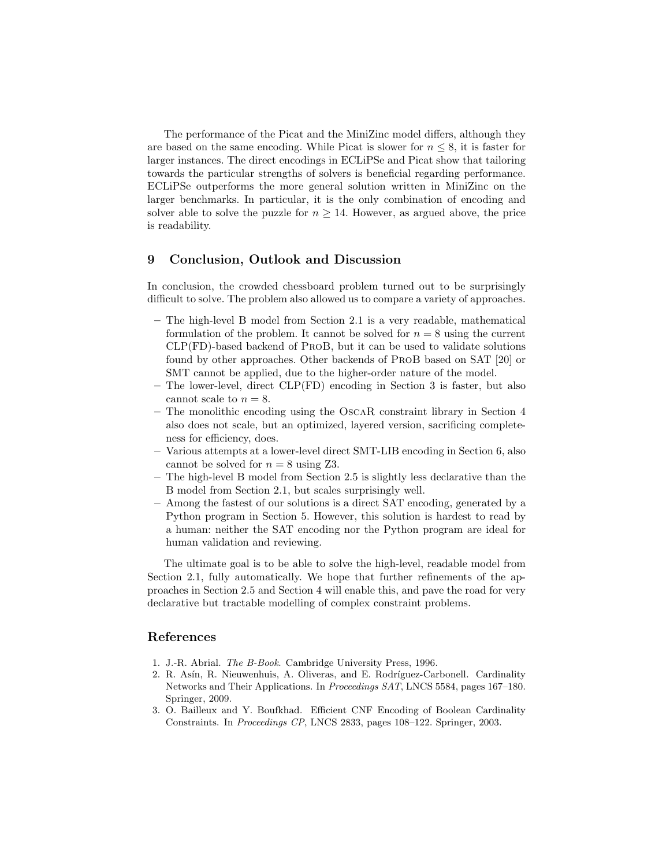The performance of the Picat and the MiniZinc model differs, although they are based on the same encoding. While Picat is slower for  $n \leq 8$ , it is faster for larger instances. The direct encodings in ECLiPSe and Picat show that tailoring towards the particular strengths of solvers is beneficial regarding performance. ECLiPSe outperforms the more general solution written in MiniZinc on the larger benchmarks. In particular, it is the only combination of encoding and solver able to solve the puzzle for  $n \geq 14$ . However, as argued above, the price is readability.

#### 9 Conclusion, Outlook and Discussion

In conclusion, the crowded chessboard problem turned out to be surprisingly difficult to solve. The problem also allowed us to compare a variety of approaches.

- The high-level B model from Section 2.1 is a very readable, mathematical formulation of the problem. It cannot be solved for  $n = 8$  using the current CLP(FD)-based backend of ProB, but it can be used to validate solutions found by other approaches. Other backends of ProB based on SAT [20] or SMT cannot be applied, due to the higher-order nature of the model.
- The lower-level, direct CLP(FD) encoding in Section 3 is faster, but also cannot scale to  $n = 8$ .
- The monolithic encoding using the OscaR constraint library in Section 4 also does not scale, but an optimized, layered version, sacrificing completeness for efficiency, does.
- Various attempts at a lower-level direct SMT-LIB encoding in Section 6, also cannot be solved for  $n = 8$  using Z3.
- The high-level B model from Section 2.5 is slightly less declarative than the B model from Section 2.1, but scales surprisingly well.
- Among the fastest of our solutions is a direct SAT encoding, generated by a Python program in Section 5. However, this solution is hardest to read by a human: neither the SAT encoding nor the Python program are ideal for human validation and reviewing.

The ultimate goal is to be able to solve the high-level, readable model from Section 2.1, fully automatically. We hope that further refinements of the approaches in Section 2.5 and Section 4 will enable this, and pave the road for very declarative but tractable modelling of complex constraint problems.

#### References

- 1. J.-R. Abrial. The B-Book. Cambridge University Press, 1996.
- 2. R. Asín, R. Nieuwenhuis, A. Oliveras, and E. Rodríguez-Carbonell. Cardinality Networks and Their Applications. In Proceedings SAT, LNCS 5584, pages 167–180. Springer, 2009.
- 3. O. Bailleux and Y. Boufkhad. Efficient CNF Encoding of Boolean Cardinality Constraints. In Proceedings CP, LNCS 2833, pages 108–122. Springer, 2003.